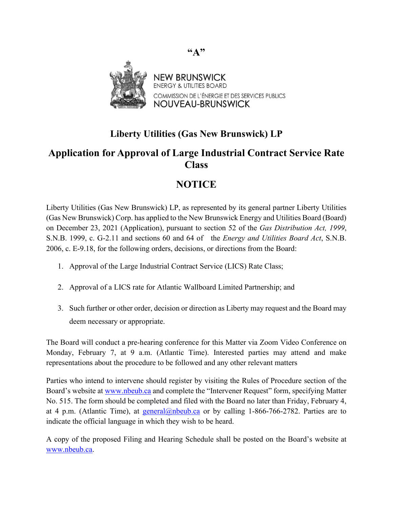

## **Liberty Utilities (Gas New Brunswick) LP**

## **Application for Approval of Large Industrial Contract Service Rate Class**

## **NOTICE**

Liberty Utilities (Gas New Brunswick) LP, as represented by its general partner Liberty Utilities (Gas New Brunswick) Corp. has applied to the New Brunswick Energy and Utilities Board (Board) on December 23, 2021 (Application), pursuant to section 52 of the *Gas Distribution Act, 1999*, S.N.B. 1999, c. G-2.11 and sections 60 and 64 of the *Energy and Utilities Board Act*, S.N.B. 2006, c. E-9.18, for the following orders, decisions, or directions from the Board:

- 1. Approval of the Large Industrial Contract Service (LICS) Rate Class;
- 2. Approval of a LICS rate for Atlantic Wallboard Limited Partnership; and
- 3. Such further or other order, decision or direction as Liberty may request and the Board may deem necessary or appropriate.

The Board will conduct a pre-hearing conference for this Matter via Zoom Video Conference on Monday, February 7, at 9 a.m. (Atlantic Time). Interested parties may attend and make representations about the procedure to be followed and any other relevant matters

Parties who intend to intervene should register by visiting the Rules of Procedure section of the Board's website at [www.nbeub.ca](http://www.nbeub.ca/) and complete the "Intervener Request" form, specifying Matter No. 515. The form should be completed and filed with the Board no later than Friday, February 4, at 4 p.m. (Atlantic Time), at [general@nbeub.ca](mailto:general@nbeub.ca) or by calling 1-866-766-2782. Parties are to indicate the official language in which they wish to be heard.

A copy of the proposed Filing and Hearing Schedule shall be posted on the Board's website at [www.nbeub.ca.](http://www.nbeub.ca/)